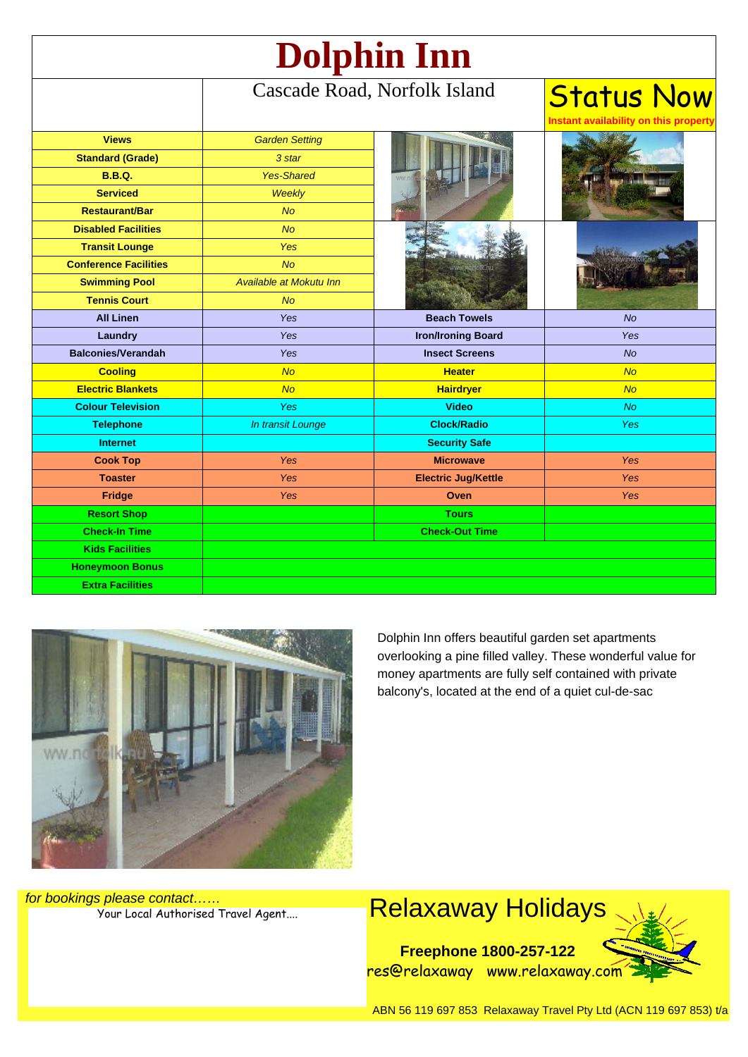| Dolphin Inn                  |                              |                            |                                                            |
|------------------------------|------------------------------|----------------------------|------------------------------------------------------------|
|                              | Cascade Road, Norfolk Island |                            | <b>Status Now</b><br>Instant availability on this property |
| <b>Views</b>                 | <b>Garden Setting</b>        |                            |                                                            |
| <b>Standard (Grade)</b>      | 3 star                       |                            |                                                            |
| <b>B.B.Q.</b>                | <b>Yes-Shared</b>            |                            |                                                            |
| <b>Serviced</b>              | Weekly                       |                            |                                                            |
| <b>Restaurant/Bar</b>        | <b>No</b>                    |                            |                                                            |
| <b>Disabled Facilities</b>   | No                           |                            |                                                            |
| <b>Transit Lounge</b>        | <b>Yes</b>                   |                            |                                                            |
| <b>Conference Facilities</b> | No                           |                            |                                                            |
| <b>Swimming Pool</b>         | Available at Mokutu Inn      |                            |                                                            |
| <b>Tennis Court</b>          | <b>No</b>                    |                            |                                                            |
| <b>All Linen</b>             | Yes                          | <b>Beach Towels</b>        | <b>No</b>                                                  |
| Laundry                      | Yes                          | <b>Iron/Ironing Board</b>  | <b>Yes</b>                                                 |
| <b>Balconies/Verandah</b>    | Yes                          | <b>Insect Screens</b>      | <b>No</b>                                                  |
| <b>Cooling</b>               | <b>No</b>                    | <b>Heater</b>              | <b>No</b>                                                  |
| <b>Electric Blankets</b>     | <b>No</b>                    | <b>Hairdryer</b>           | <b>No</b>                                                  |
| <b>Colour Television</b>     | <b>Yes</b>                   | <b>Video</b>               | <b>No</b>                                                  |
| <b>Telephone</b>             | In transit Lounge            | <b>Clock/Radio</b>         | <b>Yes</b>                                                 |
| <b>Internet</b>              |                              | <b>Security Safe</b>       |                                                            |
| <b>Cook Top</b>              | Yes                          | <b>Microwave</b>           | <b>Yes</b>                                                 |
| <b>Toaster</b>               | <b>Yes</b>                   | <b>Electric Jug/Kettle</b> | <b>Yes</b>                                                 |
| Fridge                       | <b>Yes</b>                   | Oven                       | <b>Yes</b>                                                 |
| <b>Resort Shop</b>           |                              | <b>Tours</b>               |                                                            |
| <b>Check-In Time</b>         |                              | <b>Check-Out Time</b>      |                                                            |
| <b>Kids Facilities</b>       |                              |                            |                                                            |
| <b>Honeymoon Bonus</b>       |                              |                            |                                                            |
| <b>Extra Facilities</b>      |                              |                            |                                                            |



Dolphin Inn offers beautiful garden set apartments overlooking a pine filled valley. These wonderful value for money apartments are fully self contained with private balcony's, located at the end of a quiet cul-de-sac

for bookings please contact……